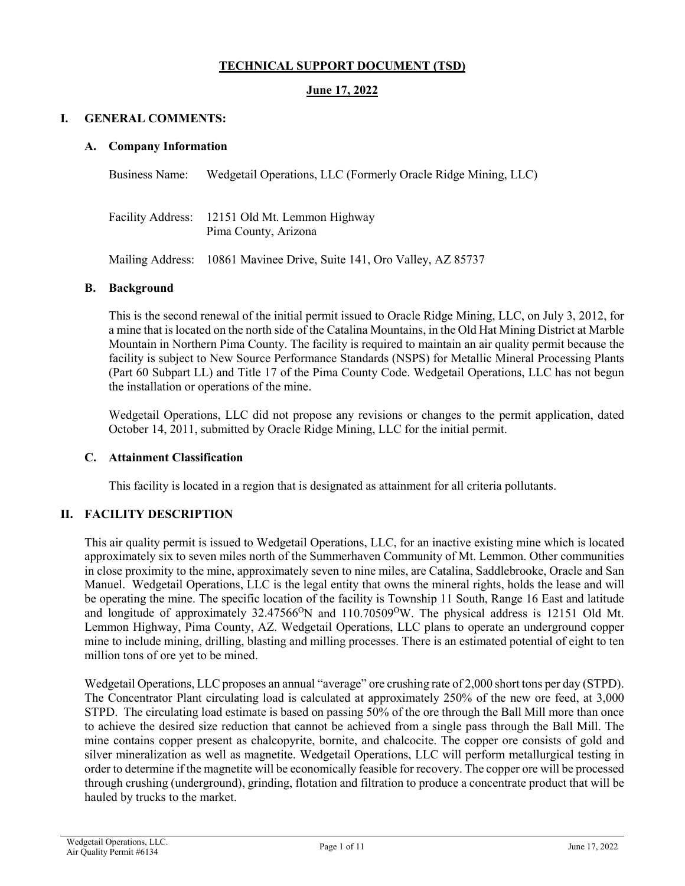# **TECHNICAL SUPPORT DOCUMENT (TSD)**

## **June 17, 2022**

#### **I. GENERAL COMMENTS:**

#### **A. Company Information**

Business Name: Wedgetail Operations, LLC (Formerly Oracle Ridge Mining, LLC)

Facility Address: 12151 Old Mt. Lemmon Highway Pima County, Arizona

Mailing Address: 10861 Mavinee Drive, Suite 141, Oro Valley, AZ 85737

#### **B. Background**

This is the second renewal of the initial permit issued to Oracle Ridge Mining, LLC, on July 3, 2012, for a mine that is located on the north side of the Catalina Mountains, in the Old Hat Mining District at Marble Mountain in Northern Pima County. The facility is required to maintain an air quality permit because the facility is subject to New Source Performance Standards (NSPS) for Metallic Mineral Processing Plants (Part 60 Subpart LL) and Title 17 of the Pima County Code. Wedgetail Operations, LLC has not begun the installation or operations of the mine.

Wedgetail Operations, LLC did not propose any revisions or changes to the permit application, dated October 14, 2011, submitted by Oracle Ridge Mining, LLC for the initial permit.

### **C. Attainment Classification**

This facility is located in a region that is designated as attainment for all criteria pollutants.

### **II. FACILITY DESCRIPTION**

This air quality permit is issued to Wedgetail Operations, LLC, for an inactive existing mine which is located approximately six to seven miles north of the Summerhaven Community of Mt. Lemmon. Other communities in close proximity to the mine, approximately seven to nine miles, are Catalina, Saddlebrooke, Oracle and San Manuel. Wedgetail Operations, LLC is the legal entity that owns the mineral rights, holds the lease and will be operating the mine. The specific location of the facility is Township 11 South, Range 16 East and latitude and longitude of approximately 32.47566<sup>o</sup>N and 110.70509<sup>o</sup>W. The physical address is 12151 Old Mt. Lemmon Highway, Pima County, AZ. Wedgetail Operations, LLC plans to operate an underground copper mine to include mining, drilling, blasting and milling processes. There is an estimated potential of eight to ten million tons of ore yet to be mined.

Wedgetail Operations, LLC proposes an annual "average" ore crushing rate of 2,000 short tons per day (STPD). The Concentrator Plant circulating load is calculated at approximately 250% of the new ore feed, at 3,000 STPD. The circulating load estimate is based on passing 50% of the ore through the Ball Mill more than once to achieve the desired size reduction that cannot be achieved from a single pass through the Ball Mill. The mine contains copper present as chalcopyrite, bornite, and chalcocite. The copper ore consists of gold and silver mineralization as well as magnetite. Wedgetail Operations, LLC will perform metallurgical testing in order to determine if the magnetite will be economically feasible for recovery. The copper ore will be processed through crushing (underground), grinding, flotation and filtration to produce a concentrate product that will be hauled by trucks to the market.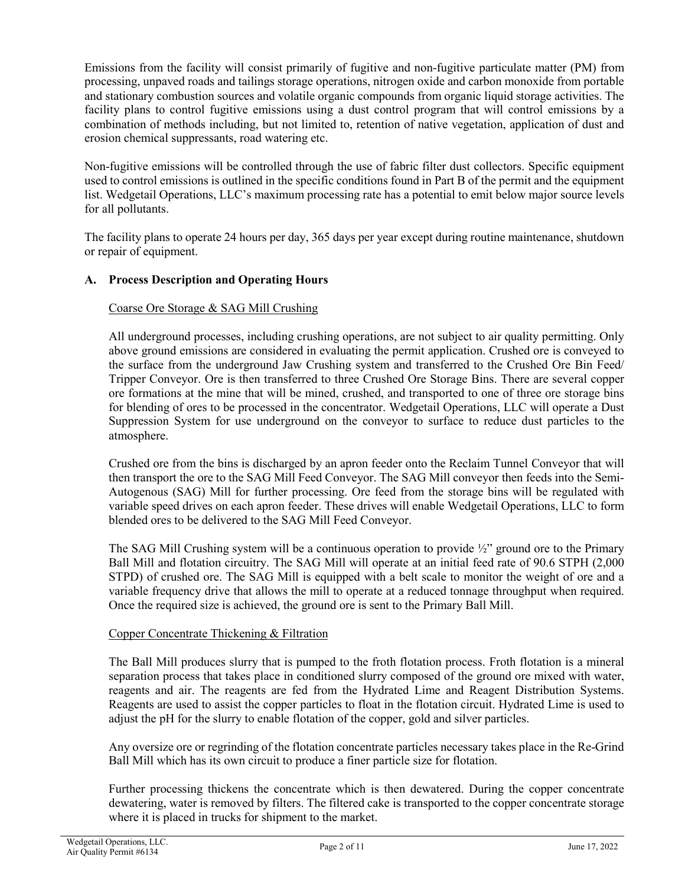Emissions from the facility will consist primarily of fugitive and non-fugitive particulate matter (PM) from processing, unpaved roads and tailings storage operations, nitrogen oxide and carbon monoxide from portable and stationary combustion sources and volatile organic compounds from organic liquid storage activities. The facility plans to control fugitive emissions using a dust control program that will control emissions by a combination of methods including, but not limited to, retention of native vegetation, application of dust and erosion chemical suppressants, road watering etc.

Non-fugitive emissions will be controlled through the use of fabric filter dust collectors. Specific equipment used to control emissions is outlined in the specific conditions found in Part B of the permit and the equipment list. Wedgetail Operations, LLC's maximum processing rate has a potential to emit below major source levels for all pollutants.

The facility plans to operate 24 hours per day, 365 days per year except during routine maintenance, shutdown or repair of equipment.

# **A. Process Description and Operating Hours**

# Coarse Ore Storage & SAG Mill Crushing

All underground processes, including crushing operations, are not subject to air quality permitting. Only above ground emissions are considered in evaluating the permit application. Crushed ore is conveyed to the surface from the underground Jaw Crushing system and transferred to the Crushed Ore Bin Feed/ Tripper Conveyor. Ore is then transferred to three Crushed Ore Storage Bins. There are several copper ore formations at the mine that will be mined, crushed, and transported to one of three ore storage bins for blending of ores to be processed in the concentrator. Wedgetail Operations, LLC will operate a Dust Suppression System for use underground on the conveyor to surface to reduce dust particles to the atmosphere.

Crushed ore from the bins is discharged by an apron feeder onto the Reclaim Tunnel Conveyor that will then transport the ore to the SAG Mill Feed Conveyor. The SAG Mill conveyor then feeds into the Semi-Autogenous (SAG) Mill for further processing. Ore feed from the storage bins will be regulated with variable speed drives on each apron feeder. These drives will enable Wedgetail Operations, LLC to form blended ores to be delivered to the SAG Mill Feed Conveyor.

The SAG Mill Crushing system will be a continuous operation to provide  $\frac{1}{2}$  ground ore to the Primary Ball Mill and flotation circuitry. The SAG Mill will operate at an initial feed rate of 90.6 STPH (2,000 STPD) of crushed ore. The SAG Mill is equipped with a belt scale to monitor the weight of ore and a variable frequency drive that allows the mill to operate at a reduced tonnage throughput when required. Once the required size is achieved, the ground ore is sent to the Primary Ball Mill.

### Copper Concentrate Thickening & Filtration

The Ball Mill produces slurry that is pumped to the froth flotation process. Froth flotation is a mineral separation process that takes place in conditioned slurry composed of the ground ore mixed with water, reagents and air. The reagents are fed from the Hydrated Lime and Reagent Distribution Systems. Reagents are used to assist the copper particles to float in the flotation circuit. Hydrated Lime is used to adjust the pH for the slurry to enable flotation of the copper, gold and silver particles.

Any oversize ore or regrinding of the flotation concentrate particles necessary takes place in the Re-Grind Ball Mill which has its own circuit to produce a finer particle size for flotation.

Further processing thickens the concentrate which is then dewatered. During the copper concentrate dewatering, water is removed by filters. The filtered cake is transported to the copper concentrate storage where it is placed in trucks for shipment to the market.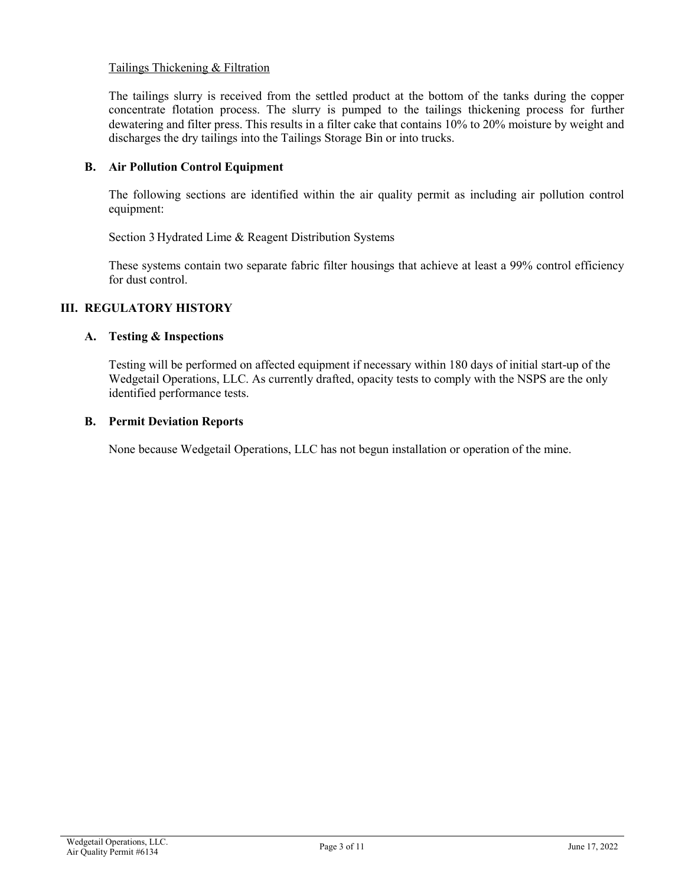# Tailings Thickening & Filtration

The tailings slurry is received from the settled product at the bottom of the tanks during the copper concentrate flotation process. The slurry is pumped to the tailings thickening process for further dewatering and filter press. This results in a filter cake that contains 10% to 20% moisture by weight and discharges the dry tailings into the Tailings Storage Bin or into trucks.

### **B. Air Pollution Control Equipment**

The following sections are identified within the air quality permit as including air pollution control equipment:

Section 3 Hydrated Lime & Reagent Distribution Systems

These systems contain two separate fabric filter housings that achieve at least a 99% control efficiency for dust control.

# **III. REGULATORY HISTORY**

### **A. Testing & Inspections**

Testing will be performed on affected equipment if necessary within 180 days of initial start-up of the Wedgetail Operations, LLC. As currently drafted, opacity tests to comply with the NSPS are the only identified performance tests.

### **B. Permit Deviation Reports**

None because Wedgetail Operations, LLC has not begun installation or operation of the mine.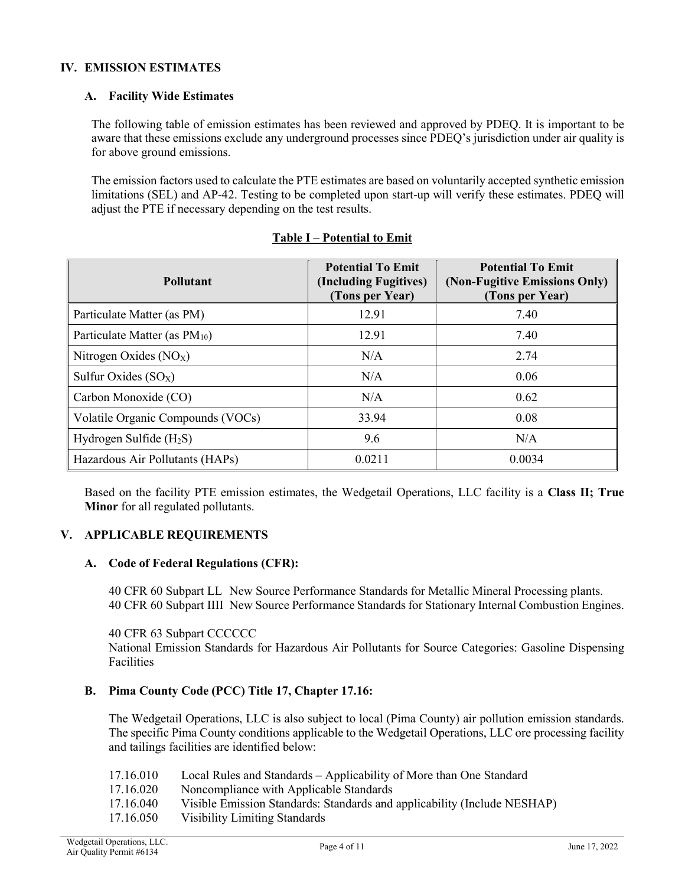# **IV. EMISSION ESTIMATES**

# **A. Facility Wide Estimates**

The following table of emission estimates has been reviewed and approved by PDEQ. It is important to be aware that these emissions exclude any underground processes since PDEQ's jurisdiction under air quality is for above ground emissions.

The emission factors used to calculate the PTE estimates are based on voluntarily accepted synthetic emission limitations (SEL) and AP-42. Testing to be completed upon start-up will verify these estimates. PDEQ will adjust the PTE if necessary depending on the test results.

| <b>Pollutant</b>                          | <b>Potential To Emit</b><br>(Including Fugitives)<br>(Tons per Year) | <b>Potential To Emit</b><br>(Non-Fugitive Emissions Only)<br>(Tons per Year) |
|-------------------------------------------|----------------------------------------------------------------------|------------------------------------------------------------------------------|
| Particulate Matter (as PM)                | 12.91                                                                | 7.40                                                                         |
| Particulate Matter (as PM <sub>10</sub> ) | 12.91                                                                | 7.40                                                                         |
| Nitrogen Oxides $(NOX)$                   | N/A                                                                  | 2.74                                                                         |
| Sulfur Oxides $(SO_X)$                    | N/A                                                                  | 0.06                                                                         |
| Carbon Monoxide (CO)                      | N/A                                                                  | 0.62                                                                         |
| Volatile Organic Compounds (VOCs)         | 33.94                                                                | 0.08                                                                         |
| Hydrogen Sulfide $(H_2S)$                 | 9.6                                                                  | N/A                                                                          |
| Hazardous Air Pollutants (HAPs)           | 0.0211                                                               | 0.0034                                                                       |

# **Table I – Potential to Emit**

Based on the facility PTE emission estimates, the Wedgetail Operations, LLC facility is a **Class II; True Minor** for all regulated pollutants.

### **V. APPLICABLE REQUIREMENTS**

### **A. Code of Federal Regulations (CFR):**

40 CFR 60 Subpart LL New Source Performance Standards for Metallic Mineral Processing plants. 40 CFR 60 Subpart IIII New Source Performance Standards for Stationary Internal Combustion Engines.

40 CFR 63 Subpart CCCCCC

National Emission Standards for Hazardous Air Pollutants for Source Categories: Gasoline Dispensing **Facilities** 

### **B. Pima County Code (PCC) Title 17, Chapter 17.16:**

The Wedgetail Operations, LLC is also subject to local (Pima County) air pollution emission standards. The specific Pima County conditions applicable to the Wedgetail Operations, LLC ore processing facility and tailings facilities are identified below:

17.16.010 Local Rules and Standards – Applicability of More than One Standard

17.16.020 Noncompliance with Applicable Standards

- 17.16.040 Visible Emission Standards: Standards and applicability (Include NESHAP)
- 17.16.050 Visibility Limiting Standards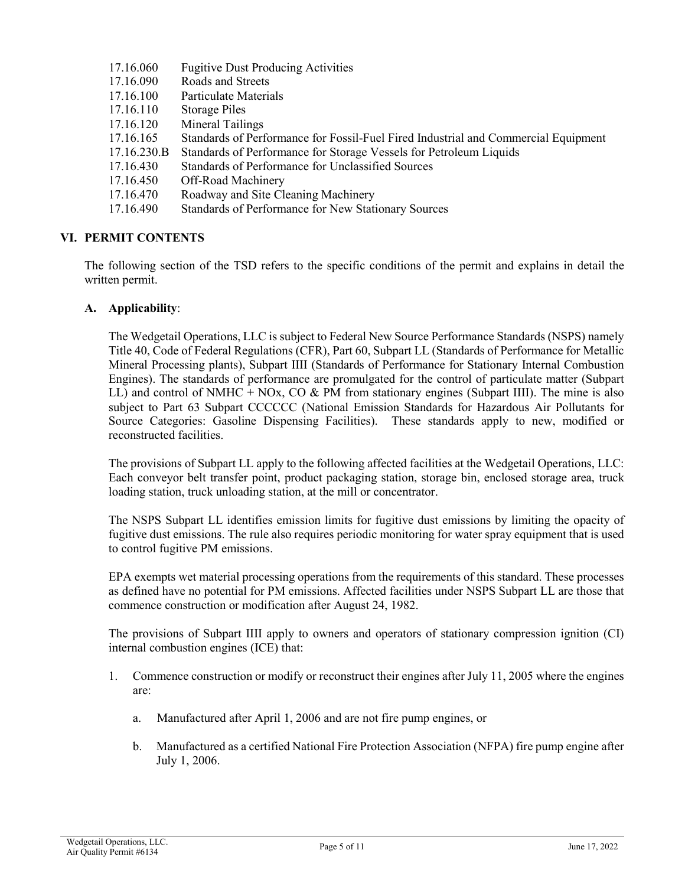| <b>Fugitive Dust Producing Activities</b>                                          |
|------------------------------------------------------------------------------------|
| Roads and Streets                                                                  |
| Particulate Materials                                                              |
| Storage Piles                                                                      |
| Mineral Tailings                                                                   |
| Standards of Performance for Fossil-Fuel Fired Industrial and Commercial Equipment |
| Standards of Performance for Storage Vessels for Petroleum Liquids                 |
| Standards of Performance for Unclassified Sources                                  |
| Off-Road Machinery                                                                 |
| Roadway and Site Cleaning Machinery                                                |
| Standards of Performance for New Stationary Sources                                |
|                                                                                    |

# **VI. PERMIT CONTENTS**

The following section of the TSD refers to the specific conditions of the permit and explains in detail the written permit.

### **A. Applicability**:

The Wedgetail Operations, LLC is subject to Federal New Source Performance Standards (NSPS) namely Title 40, Code of Federal Regulations (CFR), Part 60, Subpart LL (Standards of Performance for Metallic Mineral Processing plants), Subpart IIII (Standards of Performance for Stationary Internal Combustion Engines). The standards of performance are promulgated for the control of particulate matter (Subpart LL) and control of NMHC + NOx, CO & PM from stationary engines (Subpart IIII). The mine is also subject to Part 63 Subpart CCCCCC (National Emission Standards for Hazardous Air Pollutants for Source Categories: Gasoline Dispensing Facilities). These standards apply to new, modified or reconstructed facilities.

The provisions of Subpart LL apply to the following affected facilities at the Wedgetail Operations, LLC: Each conveyor belt transfer point, product packaging station, storage bin, enclosed storage area, truck loading station, truck unloading station, at the mill or concentrator.

The NSPS Subpart LL identifies emission limits for fugitive dust emissions by limiting the opacity of fugitive dust emissions. The rule also requires periodic monitoring for water spray equipment that is used to control fugitive PM emissions.

EPA exempts wet material processing operations from the requirements of this standard. These processes as defined have no potential for PM emissions. Affected facilities under NSPS Subpart LL are those that commence construction or modification after August 24, 1982.

The provisions of Subpart IIII apply to owners and operators of stationary compression ignition (CI) internal combustion engines (ICE) that:

- 1. Commence construction or modify or reconstruct their engines after July 11, 2005 where the engines are:
	- a. Manufactured after April 1, 2006 and are not fire pump engines, or
	- b. Manufactured as a certified National Fire Protection Association (NFPA) fire pump engine after July 1, 2006.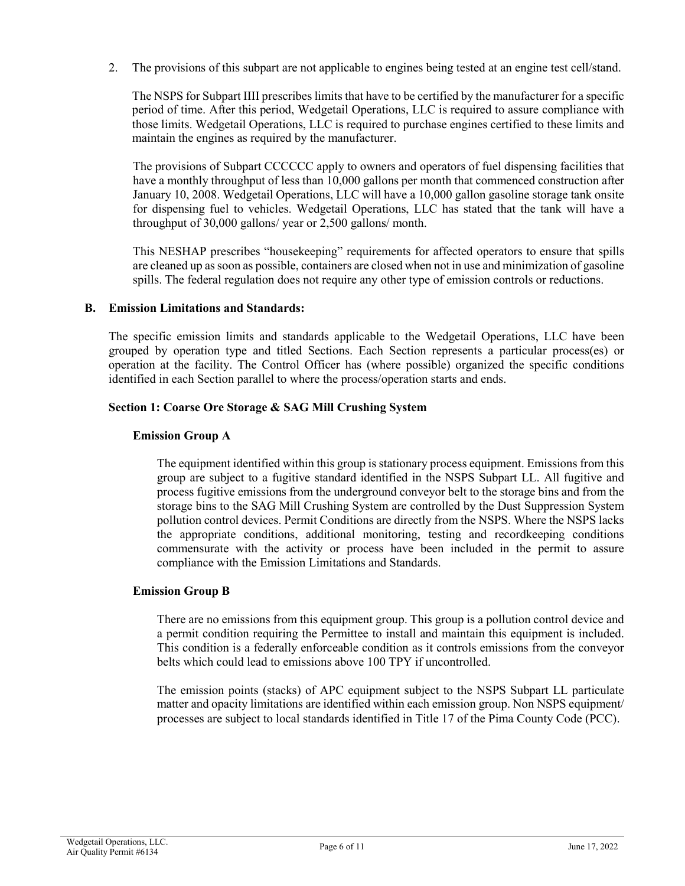2. The provisions of this subpart are not applicable to engines being tested at an engine test cell/stand.

The NSPS for Subpart IIII prescribes limits that have to be certified by the manufacturer for a specific period of time. After this period, Wedgetail Operations, LLC is required to assure compliance with those limits. Wedgetail Operations, LLC is required to purchase engines certified to these limits and maintain the engines as required by the manufacturer.

The provisions of Subpart CCCCCC apply to owners and operators of fuel dispensing facilities that have a monthly throughput of less than 10,000 gallons per month that commenced construction after January 10, 2008. Wedgetail Operations, LLC will have a 10,000 gallon gasoline storage tank onsite for dispensing fuel to vehicles. Wedgetail Operations, LLC has stated that the tank will have a throughput of 30,000 gallons/ year or 2,500 gallons/ month.

This NESHAP prescribes "housekeeping" requirements for affected operators to ensure that spills are cleaned up as soon as possible, containers are closed when not in use and minimization of gasoline spills. The federal regulation does not require any other type of emission controls or reductions.

# **B. Emission Limitations and Standards:**

The specific emission limits and standards applicable to the Wedgetail Operations, LLC have been grouped by operation type and titled Sections. Each Section represents a particular process(es) or operation at the facility. The Control Officer has (where possible) organized the specific conditions identified in each Section parallel to where the process/operation starts and ends.

### **Section 1: Coarse Ore Storage & SAG Mill Crushing System**

### **Emission Group A**

The equipment identified within this group is stationary process equipment. Emissions from this group are subject to a fugitive standard identified in the NSPS Subpart LL. All fugitive and process fugitive emissions from the underground conveyor belt to the storage bins and from the storage bins to the SAG Mill Crushing System are controlled by the Dust Suppression System pollution control devices. Permit Conditions are directly from the NSPS. Where the NSPS lacks the appropriate conditions, additional monitoring, testing and recordkeeping conditions commensurate with the activity or process have been included in the permit to assure compliance with the Emission Limitations and Standards.

### **Emission Group B**

There are no emissions from this equipment group. This group is a pollution control device and a permit condition requiring the Permittee to install and maintain this equipment is included. This condition is a federally enforceable condition as it controls emissions from the conveyor belts which could lead to emissions above 100 TPY if uncontrolled.

The emission points (stacks) of APC equipment subject to the NSPS Subpart LL particulate matter and opacity limitations are identified within each emission group. Non NSPS equipment/ processes are subject to local standards identified in Title 17 of the Pima County Code (PCC).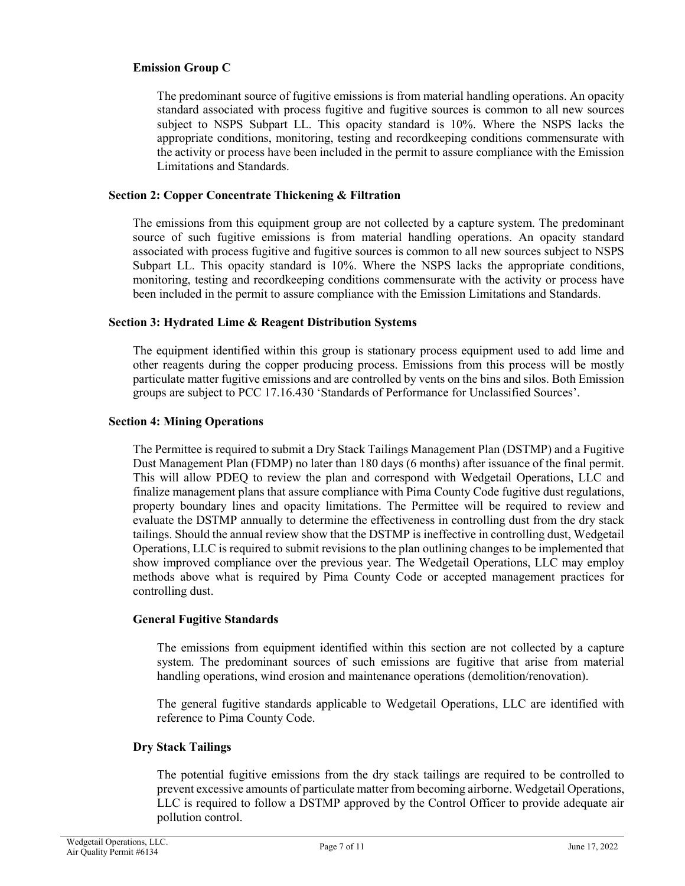# **Emission Group C**

The predominant source of fugitive emissions is from material handling operations. An opacity standard associated with process fugitive and fugitive sources is common to all new sources subject to NSPS Subpart LL. This opacity standard is 10%. Where the NSPS lacks the appropriate conditions, monitoring, testing and recordkeeping conditions commensurate with the activity or process have been included in the permit to assure compliance with the Emission Limitations and Standards.

### **Section 2: Copper Concentrate Thickening & Filtration**

The emissions from this equipment group are not collected by a capture system. The predominant source of such fugitive emissions is from material handling operations. An opacity standard associated with process fugitive and fugitive sources is common to all new sources subject to NSPS Subpart LL. This opacity standard is 10%. Where the NSPS lacks the appropriate conditions, monitoring, testing and recordkeeping conditions commensurate with the activity or process have been included in the permit to assure compliance with the Emission Limitations and Standards.

### **Section 3: Hydrated Lime & Reagent Distribution Systems**

The equipment identified within this group is stationary process equipment used to add lime and other reagents during the copper producing process. Emissions from this process will be mostly particulate matter fugitive emissions and are controlled by vents on the bins and silos. Both Emission groups are subject to PCC 17.16.430 'Standards of Performance for Unclassified Sources'.

### **Section 4: Mining Operations**

The Permittee is required to submit a Dry Stack Tailings Management Plan (DSTMP) and a Fugitive Dust Management Plan (FDMP) no later than 180 days (6 months) after issuance of the final permit. This will allow PDEQ to review the plan and correspond with Wedgetail Operations, LLC and finalize management plans that assure compliance with Pima County Code fugitive dust regulations, property boundary lines and opacity limitations. The Permittee will be required to review and evaluate the DSTMP annually to determine the effectiveness in controlling dust from the dry stack tailings. Should the annual review show that the DSTMP is ineffective in controlling dust, Wedgetail Operations, LLC is required to submit revisions to the plan outlining changes to be implemented that show improved compliance over the previous year. The Wedgetail Operations, LLC may employ methods above what is required by Pima County Code or accepted management practices for controlling dust.

### **General Fugitive Standards**

The emissions from equipment identified within this section are not collected by a capture system. The predominant sources of such emissions are fugitive that arise from material handling operations, wind erosion and maintenance operations (demolition/renovation).

The general fugitive standards applicable to Wedgetail Operations, LLC are identified with reference to Pima County Code.

### **Dry Stack Tailings**

The potential fugitive emissions from the dry stack tailings are required to be controlled to prevent excessive amounts of particulate matter from becoming airborne. Wedgetail Operations, LLC is required to follow a DSTMP approved by the Control Officer to provide adequate air pollution control.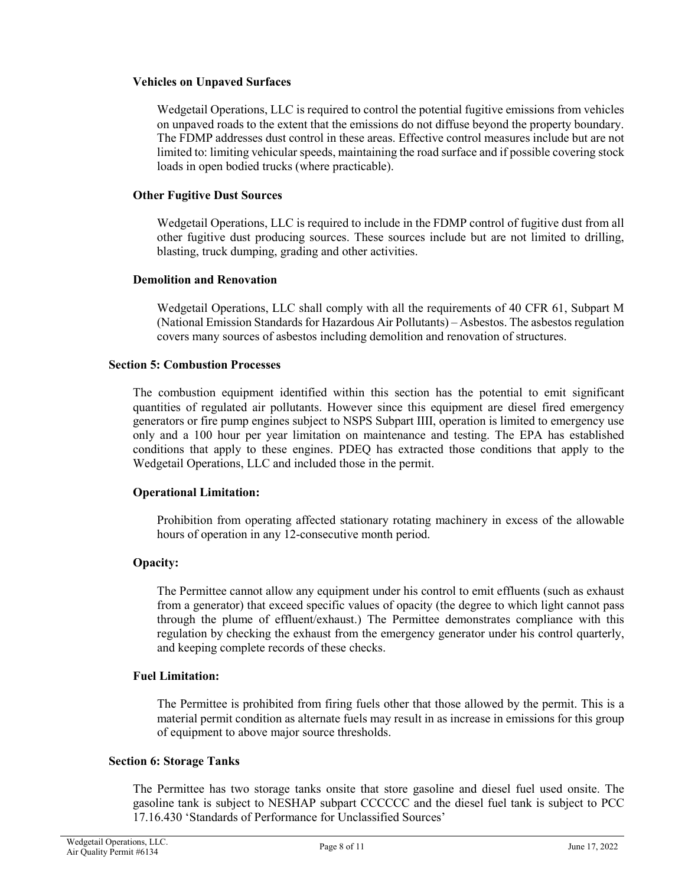### **Vehicles on Unpaved Surfaces**

Wedgetail Operations, LLC is required to control the potential fugitive emissions from vehicles on unpaved roads to the extent that the emissions do not diffuse beyond the property boundary. The FDMP addresses dust control in these areas. Effective control measures include but are not limited to: limiting vehicular speeds, maintaining the road surface and if possible covering stock loads in open bodied trucks (where practicable).

#### **Other Fugitive Dust Sources**

Wedgetail Operations, LLC is required to include in the FDMP control of fugitive dust from all other fugitive dust producing sources. These sources include but are not limited to drilling, blasting, truck dumping, grading and other activities.

#### **Demolition and Renovation**

Wedgetail Operations, LLC shall comply with all the requirements of 40 CFR 61, Subpart M (National Emission Standards for Hazardous Air Pollutants) – Asbestos. The asbestos regulation covers many sources of asbestos including demolition and renovation of structures.

### **Section 5: Combustion Processes**

The combustion equipment identified within this section has the potential to emit significant quantities of regulated air pollutants. However since this equipment are diesel fired emergency generators or fire pump engines subject to NSPS Subpart IIII, operation is limited to emergency use only and a 100 hour per year limitation on maintenance and testing. The EPA has established conditions that apply to these engines. PDEQ has extracted those conditions that apply to the Wedgetail Operations, LLC and included those in the permit.

### **Operational Limitation:**

Prohibition from operating affected stationary rotating machinery in excess of the allowable hours of operation in any 12-consecutive month period.

### **Opacity:**

The Permittee cannot allow any equipment under his control to emit effluents (such as exhaust from a generator) that exceed specific values of opacity (the degree to which light cannot pass through the plume of effluent/exhaust.) The Permittee demonstrates compliance with this regulation by checking the exhaust from the emergency generator under his control quarterly, and keeping complete records of these checks.

#### **Fuel Limitation:**

The Permittee is prohibited from firing fuels other that those allowed by the permit. This is a material permit condition as alternate fuels may result in as increase in emissions for this group of equipment to above major source thresholds.

#### **Section 6: Storage Tanks**

The Permittee has two storage tanks onsite that store gasoline and diesel fuel used onsite. The gasoline tank is subject to NESHAP subpart CCCCCC and the diesel fuel tank is subject to PCC 17.16.430 'Standards of Performance for Unclassified Sources'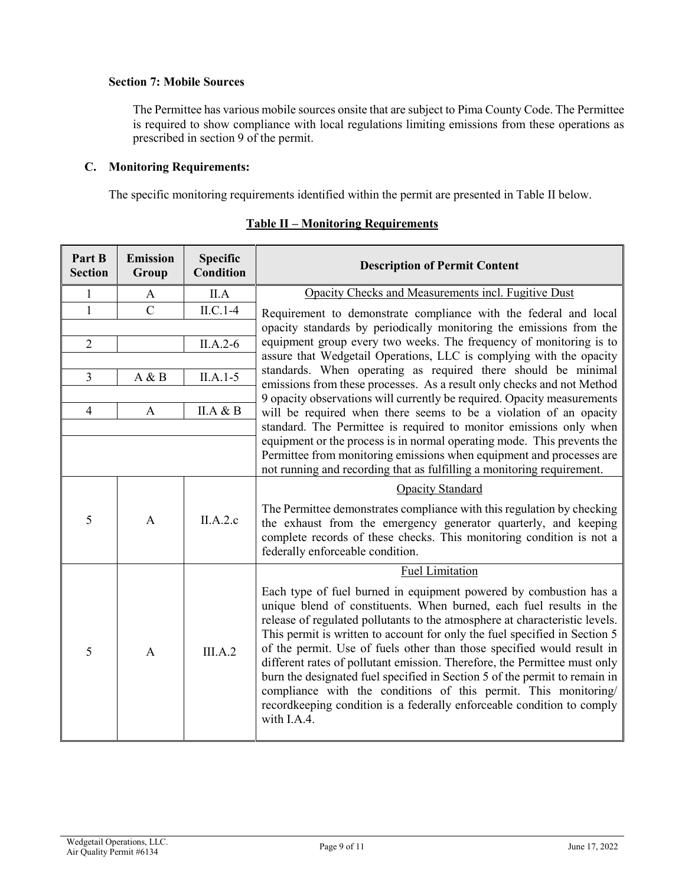# **Section 7: Mobile Sources**

The Permittee has various mobile sources onsite that are subject to Pima County Code. The Permittee is required to show compliance with local regulations limiting emissions from these operations as prescribed in section 9 of the permit.

# **C. Monitoring Requirements:**

The specific monitoring requirements identified within the permit are presented in Table II below.

| Part B<br><b>Section</b> | <b>Emission</b><br>Group | <b>Specific</b><br><b>Condition</b> | <b>Description of Permit Content</b>                                                                                                                                                                                                                                                                                                                                                                                                                                                                                                                                                                                                                                                                   |  |
|--------------------------|--------------------------|-------------------------------------|--------------------------------------------------------------------------------------------------------------------------------------------------------------------------------------------------------------------------------------------------------------------------------------------------------------------------------------------------------------------------------------------------------------------------------------------------------------------------------------------------------------------------------------------------------------------------------------------------------------------------------------------------------------------------------------------------------|--|
| $\mathbf{1}$             | A                        | II.A                                | Opacity Checks and Measurements incl. Fugitive Dust                                                                                                                                                                                                                                                                                                                                                                                                                                                                                                                                                                                                                                                    |  |
| $\mathbf{1}$             | $\mathsf{C}$             | $ILC.1-4$                           | Requirement to demonstrate compliance with the federal and local                                                                                                                                                                                                                                                                                                                                                                                                                                                                                                                                                                                                                                       |  |
|                          |                          |                                     | opacity standards by periodically monitoring the emissions from the                                                                                                                                                                                                                                                                                                                                                                                                                                                                                                                                                                                                                                    |  |
| $\overline{2}$           |                          | $II.A.2-6$                          | equipment group every two weeks. The frequency of monitoring is to<br>assure that Wedgetail Operations, LLC is complying with the opacity                                                                                                                                                                                                                                                                                                                                                                                                                                                                                                                                                              |  |
|                          |                          |                                     | standards. When operating as required there should be minimal                                                                                                                                                                                                                                                                                                                                                                                                                                                                                                                                                                                                                                          |  |
| $\overline{3}$           | A & B                    | $II.A.1-5$                          | emissions from these processes. As a result only checks and not Method                                                                                                                                                                                                                                                                                                                                                                                                                                                                                                                                                                                                                                 |  |
| $\overline{4}$           | $\mathbf{A}$             | II.A & B                            | 9 opacity observations will currently be required. Opacity measurements<br>will be required when there seems to be a violation of an opacity<br>standard. The Permittee is required to monitor emissions only when                                                                                                                                                                                                                                                                                                                                                                                                                                                                                     |  |
|                          |                          |                                     | equipment or the process is in normal operating mode. This prevents the<br>Permittee from monitoring emissions when equipment and processes are<br>not running and recording that as fulfilling a monitoring requirement.                                                                                                                                                                                                                                                                                                                                                                                                                                                                              |  |
|                          |                          |                                     | Opacity Standard                                                                                                                                                                                                                                                                                                                                                                                                                                                                                                                                                                                                                                                                                       |  |
| 5                        | $\mathsf{A}$             | II.A.2.c                            | The Permittee demonstrates compliance with this regulation by checking<br>the exhaust from the emergency generator quarterly, and keeping<br>complete records of these checks. This monitoring condition is not a<br>federally enforceable condition.                                                                                                                                                                                                                                                                                                                                                                                                                                                  |  |
|                          |                          |                                     | <b>Fuel Limitation</b>                                                                                                                                                                                                                                                                                                                                                                                                                                                                                                                                                                                                                                                                                 |  |
| 5                        | $\mathbf{A}$             | III.A.2                             | Each type of fuel burned in equipment powered by combustion has a<br>unique blend of constituents. When burned, each fuel results in the<br>release of regulated pollutants to the atmosphere at characteristic levels.<br>This permit is written to account for only the fuel specified in Section 5<br>of the permit. Use of fuels other than those specified would result in<br>different rates of pollutant emission. Therefore, the Permittee must only<br>burn the designated fuel specified in Section 5 of the permit to remain in<br>compliance with the conditions of this permit. This monitoring/<br>recordkeeping condition is a federally enforceable condition to comply<br>with I.A.4. |  |

# **Table II – Monitoring Requirements**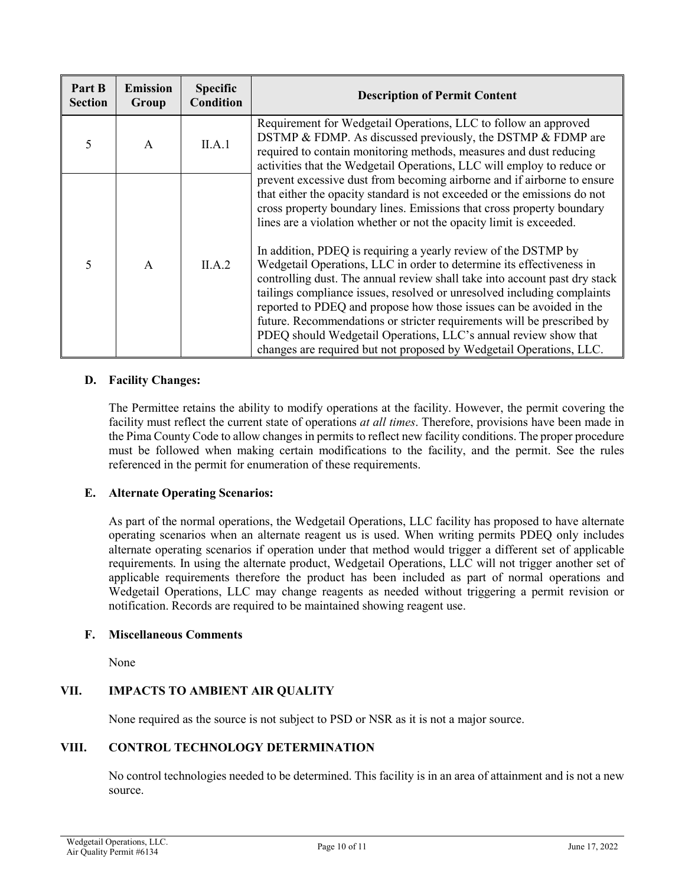| Part B<br><b>Section</b> | <b>Emission</b><br>Group | <b>Specific</b><br><b>Condition</b> | <b>Description of Permit Content</b>                                                                                                                                                                                                                                                                                                                                                                                                                                                                                                                                                                                                                                                                                                                                                                                                                                                              |  |
|--------------------------|--------------------------|-------------------------------------|---------------------------------------------------------------------------------------------------------------------------------------------------------------------------------------------------------------------------------------------------------------------------------------------------------------------------------------------------------------------------------------------------------------------------------------------------------------------------------------------------------------------------------------------------------------------------------------------------------------------------------------------------------------------------------------------------------------------------------------------------------------------------------------------------------------------------------------------------------------------------------------------------|--|
| 5                        | $\mathsf{A}$             | II.A.1                              | Requirement for Wedgetail Operations, LLC to follow an approved<br>DSTMP & FDMP. As discussed previously, the DSTMP & FDMP are<br>required to contain monitoring methods, measures and dust reducing<br>activities that the Wedgetail Operations, LLC will employ to reduce or                                                                                                                                                                                                                                                                                                                                                                                                                                                                                                                                                                                                                    |  |
| $\overline{\mathcal{L}}$ | $\mathsf{A}$             | II.A.2                              | prevent excessive dust from becoming airborne and if airborne to ensure<br>that either the opacity standard is not exceeded or the emissions do not<br>cross property boundary lines. Emissions that cross property boundary<br>lines are a violation whether or not the opacity limit is exceeded.<br>In addition, PDEQ is requiring a yearly review of the DSTMP by<br>Wedgetail Operations, LLC in order to determine its effectiveness in<br>controlling dust. The annual review shall take into account past dry stack<br>tailings compliance issues, resolved or unresolved including complaints<br>reported to PDEQ and propose how those issues can be avoided in the<br>future. Recommendations or stricter requirements will be prescribed by<br>PDEQ should Wedgetail Operations, LLC's annual review show that<br>changes are required but not proposed by Wedgetail Operations, LLC. |  |

# **D. Facility Changes:**

The Permittee retains the ability to modify operations at the facility. However, the permit covering the facility must reflect the current state of operations *at all times*. Therefore, provisions have been made in the Pima County Code to allow changes in permits to reflect new facility conditions. The proper procedure must be followed when making certain modifications to the facility, and the permit. See the rules referenced in the permit for enumeration of these requirements.

# **E. Alternate Operating Scenarios:**

As part of the normal operations, the Wedgetail Operations, LLC facility has proposed to have alternate operating scenarios when an alternate reagent us is used. When writing permits PDEQ only includes alternate operating scenarios if operation under that method would trigger a different set of applicable requirements. In using the alternate product, Wedgetail Operations, LLC will not trigger another set of applicable requirements therefore the product has been included as part of normal operations and Wedgetail Operations, LLC may change reagents as needed without triggering a permit revision or notification. Records are required to be maintained showing reagent use.

# **F. Miscellaneous Comments**

None

# **VII. IMPACTS TO AMBIENT AIR QUALITY**

None required as the source is not subject to PSD or NSR as it is not a major source.

# **VIII. CONTROL TECHNOLOGY DETERMINATION**

No control technologies needed to be determined. This facility is in an area of attainment and is not a new source.